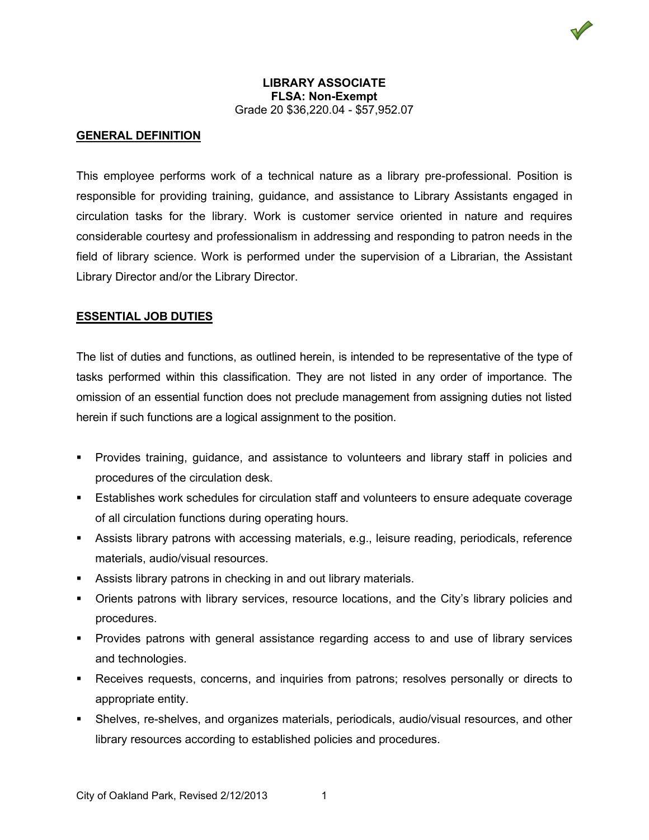## **LIBRARY ASSOCIATE FLSA: Non-Exempt** Grade 20 \$36,220.04 - \$57,952.07

## **GENERAL DEFINITION**

This employee performs work of a technical nature as a library pre-professional. Position is responsible for providing training, guidance, and assistance to Library Assistants engaged in circulation tasks for the library. Work is customer service oriented in nature and requires considerable courtesy and professionalism in addressing and responding to patron needs in the field of library science. Work is performed under the supervision of a Librarian, the Assistant Library Director and/or the Library Director.

#### **ESSENTIAL JOB DUTIES**

The list of duties and functions, as outlined herein, is intended to be representative of the type of tasks performed within this classification. They are not listed in any order of importance. The omission of an essential function does not preclude management from assigning duties not listed herein if such functions are a logical assignment to the position.

- Provides training, guidance, and assistance to volunteers and library staff in policies and procedures of the circulation desk.
- Establishes work schedules for circulation staff and volunteers to ensure adequate coverage of all circulation functions during operating hours.
- Assists library patrons with accessing materials, e.g., leisure reading, periodicals, reference materials, audio/visual resources.
- Assists library patrons in checking in and out library materials.
- Orients patrons with library services, resource locations, and the City's library policies and procedures.
- Provides patrons with general assistance regarding access to and use of library services and technologies.
- Receives requests, concerns, and inquiries from patrons; resolves personally or directs to appropriate entity.
- Shelves, re-shelves, and organizes materials, periodicals, audio/visual resources, and other library resources according to established policies and procedures.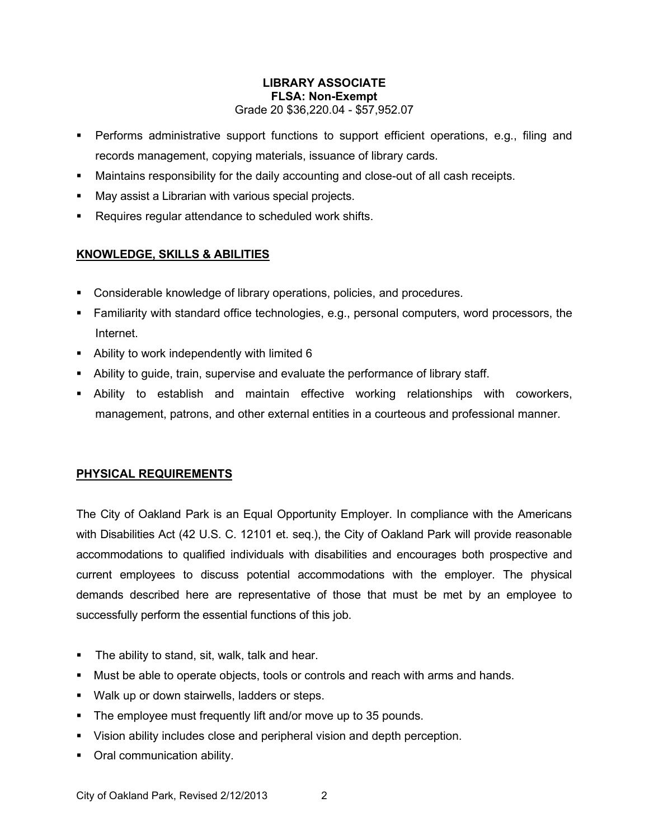# **LIBRARY ASSOCIATE FLSA: Non-Exempt** Grade 20 \$36,220.04 - \$57,952.07

- Performs administrative support functions to support efficient operations, e.g., filing and records management, copying materials, issuance of library cards.
- Maintains responsibility for the daily accounting and close-out of all cash receipts.
- May assist a Librarian with various special projects.
- **Requires regular attendance to scheduled work shifts.**

# **KNOWLEDGE, SKILLS & ABILITIES**

- Considerable knowledge of library operations, policies, and procedures.
- Familiarity with standard office technologies, e.g., personal computers, word processors, the Internet.
- Ability to work independently with limited 6
- Ability to guide, train, supervise and evaluate the performance of library staff.
- Ability to establish and maintain effective working relationships with coworkers, management, patrons, and other external entities in a courteous and professional manner.

# **PHYSICAL REQUIREMENTS**

The City of Oakland Park is an Equal Opportunity Employer. In compliance with the Americans with Disabilities Act (42 U.S. C. 12101 et. seq.), the City of Oakland Park will provide reasonable accommodations to qualified individuals with disabilities and encourages both prospective and current employees to discuss potential accommodations with the employer. The physical demands described here are representative of those that must be met by an employee to successfully perform the essential functions of this job.

- **The ability to stand, sit, walk, talk and hear.**
- Must be able to operate objects, tools or controls and reach with arms and hands.
- **Walk up or down stairwells, ladders or steps.**
- The employee must frequently lift and/or move up to 35 pounds.
- Vision ability includes close and peripheral vision and depth perception.
- Oral communication ability.